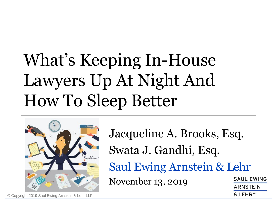# What's Keeping In-House Lawyers Up At Night And How To Sleep Better



Jacqueline A. Brooks, Esq. Swata J. Gandhi, Esq. Saul Ewing Arnstein & Lehr **SAUL EWING** November 13, 2019**ARNSTEIN** 

 $\&$  LEHR<sup>to</sup>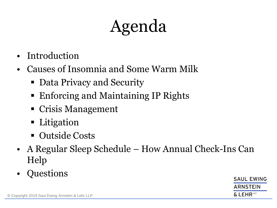# Agenda

- **Introduction**
- Causes of Insomnia and Some Warm Milk
	- Data Privacy and Security
	- Enforcing and Maintaining IP Rights
	- Crisis Management
	- Litigation
	- Outside Costs
- A Regular Sleep Schedule How Annual Check-Ins Can Help
- Questions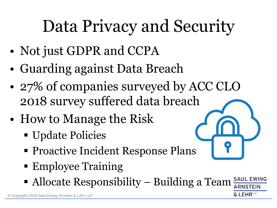# Data Privacy and Security

- Not just GDPR and CCPA
- Guarding against Data Breach
- 27% of companies surveyed by ACC CLO 2018 survey suffered da[ta breach](https://www.google.com/url?sa=i&rct=j&q=&esrc=s&source=images&cd=&cad=rja&uact=8&ved=&url=https://www.huddle.com/product/security/&psig=AOvVaw0YCbgSAO-hcxKro5PuFosu&ust=1573667962708319)
- How to Manage the Risk
	- Update Policies
	- **Proactive Incident Response Plans**
	- Employee Training
	- **SAUL EWING** ■ Allocate Responsibility – Building a Team

 $FHR^{\omega}$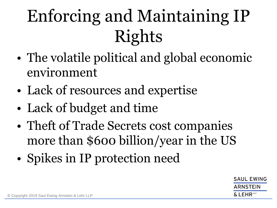# Enforcing and Maintaining IP Rights

- The volatile political and global economic environment
- Lack of resources and expertise
- Lack of budget and time
- Theft of Trade Secrets cost companies more than \$600 billion/year in the US
- Spikes in IP protection need

**SAUL EWING** ARNSTEIN LEHR<sup>te</sup>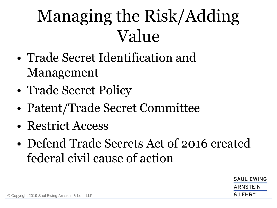## Managing the Risk/Adding Value

- Trade Secret Identification and Management
- Trade Secret Policy
- Patent/Trade Secret Committee
- Restrict Access
- Defend Trade Secrets Act of 2016 created federal civil cause of action

**SAUL EWING** ARNSTEIN & LEHR™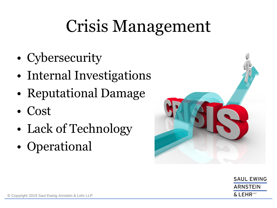## Crisis Management

- Cybersecurity
- Internal Investigations
- Reputational Damage
- Cost
- Lack of Technology
- Operational



**SAUL EWING ARNSTEIN**  $\&$  LEHR<sup>to</sup>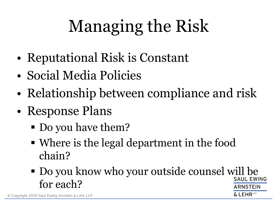# Managing the Risk

- Reputational Risk is Constant
- Social Media Policies
- Relationship between compliance and risk
- Response Plans
	- Do you have them?
	- Where is the legal department in the food chain?
	- Do you know who your outside counsel will be for each?ARNSTEIN

EHR"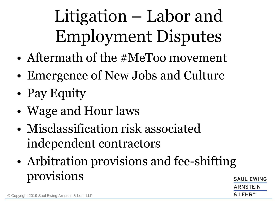# Litigation – Labor and Employment Disputes

- Aftermath of the #MeToo movement
- Emergence of New Jobs and Culture
- Pay Equity
- Wage and Hour laws
- Misclassification risk associated independent contractors
- Arbitration provisions and fee-shifting provisions**SAUL EWING** ARNSTEIN

 $\boldsymbol{\delta}$  <code>LEHR</code>  $^{\omega}$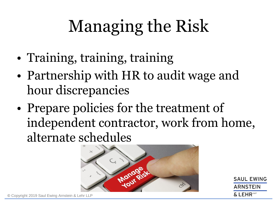# Managing the Risk

- Training, training, training
- Partnership with HR to audit wage and hour discrepancies
- Prepare policies for the treatment of independent contractor, work from home, alternate schedules



**SAUL EWING** ARNSTEIN  $\&$  LEHR  $^{\text{up}}$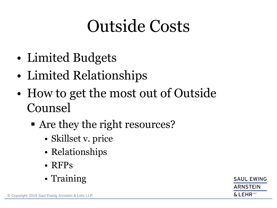## Outside Costs

- Limited Budgets
- Limited Relationships
- How to get the most out of Outside Counsel
	- Are they the right resources?
		- Skillset v. price
		- Relationships
		- RFPs
		- Training

**SAUL EWING ARNSTEIN**  $\&$  LEHR  $^{\text{up}}$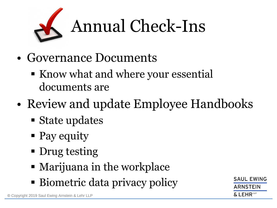

- Governance Documents
	- Know what and where your essential documents are
- Review and update Employee Handbooks
	- State updates
	- Pay equity
	- Drug testing
	- Marijuana in the workplace
	- Biometric data privacy policy

SAUL FWING ARNSTEIN  $\&$  LEHR  $^{\text{up}}$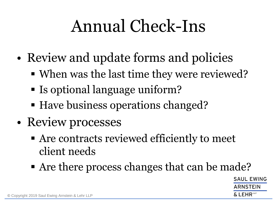## Annual Check-Ins

- Review and update forms and policies
	- When was the last time they were reviewed?
	- Is optional language uniform?
	- Have business operations changed?
- Review processes
	- Are contracts reviewed efficiently to meet client needs
	- Are there process changes that can be made?

**SAUL EWING** ARNSTEIN FHR<sup>te</sup>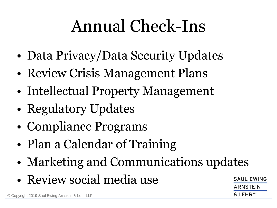## Annual Check-Ins

- Data Privacy/Data Security Updates
- Review Crisis Management Plans
- Intellectual Property Management
- Regulatory Updates
- Compliance Programs
- Plan a Calendar of Training
- Marketing and Communications updates
- Review social media use

**SAUL EWING** ARNSTEIN LEHR<sup>t⊮</sup>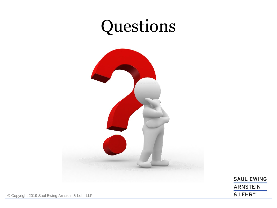### Questions



**SAUL EWING ARNSTEIN** & LEHR LLP